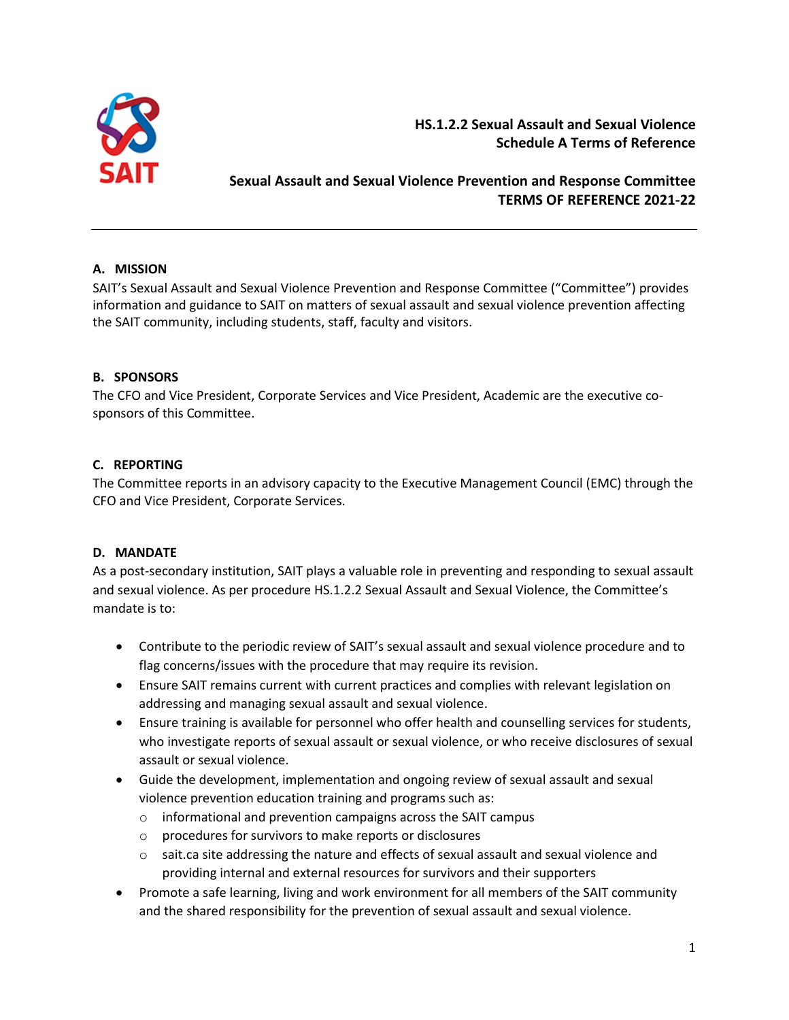

**HS.1.2.2 Sexual Assault and Sexual Violence Schedule A Terms of Reference**

# **Sexual Assault and Sexual Violence Prevention and Response Committee TERMS OF REFERENCE 2021-22**

## **A. MISSION**

SAIT's Sexual Assault and Sexual Violence Prevention and Response Committee ("Committee") provides information and guidance to SAIT on matters of sexual assault and sexual violence prevention affecting the SAIT community, including students, staff, faculty and visitors.

## **B. SPONSORS**

The CFO and Vice President, Corporate Services and Vice President, Academic are the executive cosponsors of this Committee.

## **C. REPORTING**

The Committee reports in an advisory capacity to the Executive Management Council (EMC) through the CFO and Vice President, Corporate Services.

## **D. MANDATE**

As a post-secondary institution, SAIT plays a valuable role in preventing and responding to sexual assault and sexual violence. As per procedure HS.1.2.2 Sexual Assault and Sexual Violence, the Committee's mandate is to:

- Contribute to the periodic review of SAIT's sexual assault and sexual violence procedure and to flag concerns/issues with the procedure that may require its revision.
- Ensure SAIT remains current with current practices and complies with relevant legislation on addressing and managing sexual assault and sexual violence.
- Ensure training is available for personnel who offer health and counselling services for students, who investigate reports of sexual assault or sexual violence, or who receive disclosures of sexual assault or sexual violence.
- Guide the development, implementation and ongoing review of sexual assault and sexual violence prevention education training and programs such as:
	- o informational and prevention campaigns across the SAIT campus
	- o procedures for survivors to make reports or disclosures
	- o sait.ca site addressing the nature and effects of sexual assault and sexual violence and providing internal and external resources for survivors and their supporters
- Promote a safe learning, living and work environment for all members of the SAIT community and the shared responsibility for the prevention of sexual assault and sexual violence.